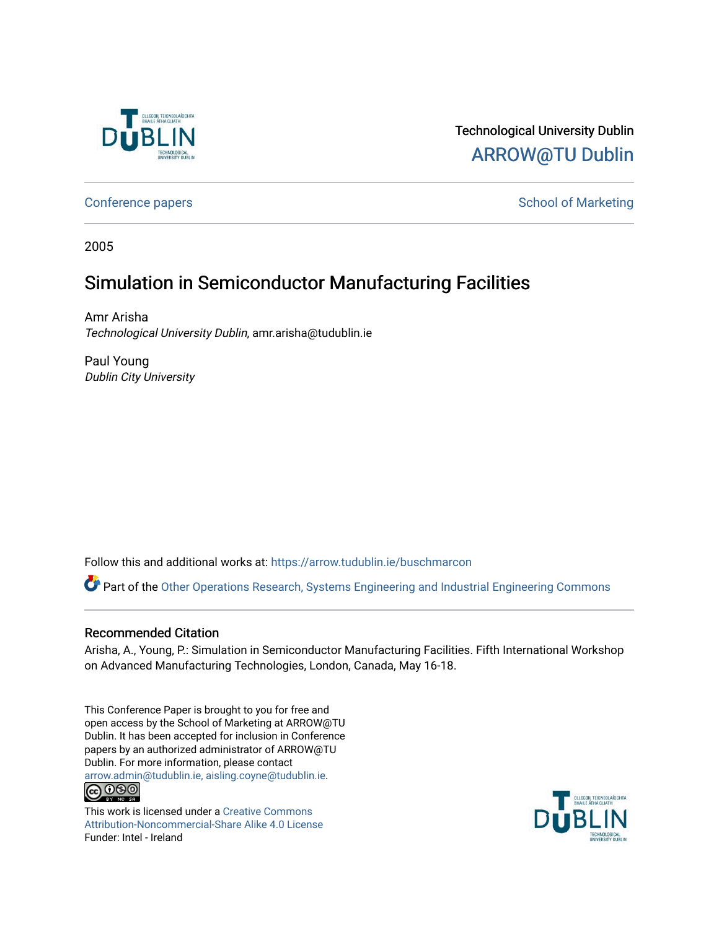

# Technological University Dublin [ARROW@TU Dublin](https://arrow.tudublin.ie/)

[Conference papers](https://arrow.tudublin.ie/buschmarcon) **School of Marketing** Conference papers **School of Marketing** 

2005

# Simulation in Semiconductor Manufacturing Facilities

Amr Arisha Technological University Dublin, amr.arisha@tudublin.ie

Paul Young Dublin City University

Follow this and additional works at: [https://arrow.tudublin.ie/buschmarcon](https://arrow.tudublin.ie/buschmarcon?utm_source=arrow.tudublin.ie%2Fbuschmarcon%2F86&utm_medium=PDF&utm_campaign=PDFCoverPages) 

Part of the [Other Operations Research, Systems Engineering and Industrial Engineering Commons](http://network.bepress.com/hgg/discipline/310?utm_source=arrow.tudublin.ie%2Fbuschmarcon%2F86&utm_medium=PDF&utm_campaign=PDFCoverPages)

#### Recommended Citation

Arisha, A., Young, P.: Simulation in Semiconductor Manufacturing Facilities. Fifth International Workshop on Advanced Manufacturing Technologies, London, Canada, May 16-18.

This Conference Paper is brought to you for free and open access by the School of Marketing at ARROW@TU Dublin. It has been accepted for inclusion in Conference papers by an authorized administrator of ARROW@TU Dublin. For more information, please contact [arrow.admin@tudublin.ie, aisling.coyne@tudublin.ie](mailto:arrow.admin@tudublin.ie,%20aisling.coyne@tudublin.ie).  $\bigcirc$  000

This work is licensed under a [Creative Commons](http://creativecommons.org/licenses/by-nc-sa/4.0/) [Attribution-Noncommercial-Share Alike 4.0 License](http://creativecommons.org/licenses/by-nc-sa/4.0/) Funder: Intel - Ireland

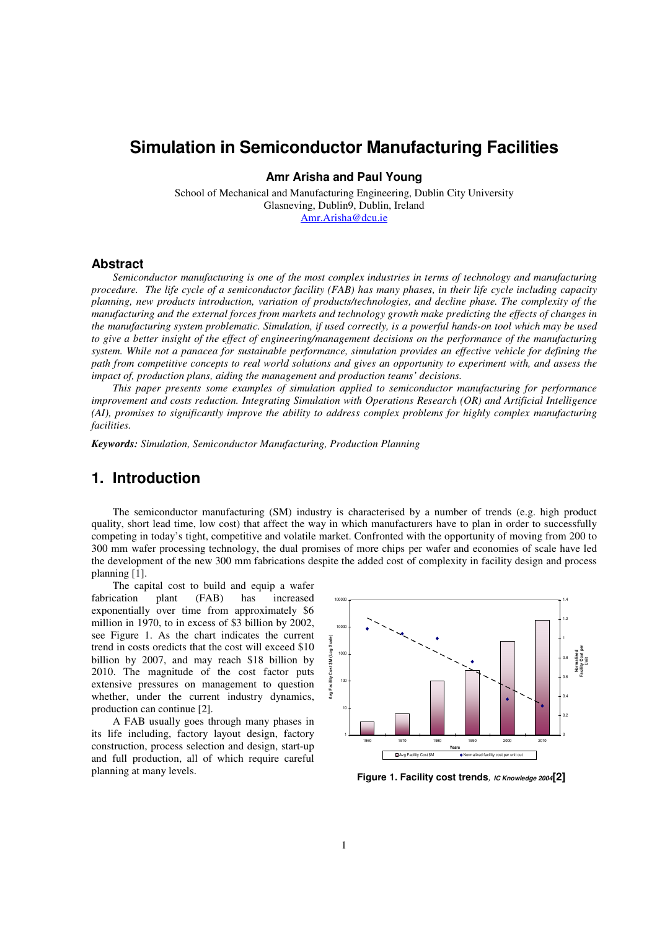# **Simulation in Semiconductor Manufacturing Facilities**

**Amr Arisha and Paul Young** 

School of Mechanical and Manufacturing Engineering, Dublin City University Glasneving, Dublin9, Dublin, Ireland Amr.Arisha@dcu.ie

#### **Abstract**

*Semiconductor manufacturing is one of the most complex industries in terms of technology and manufacturing procedure. The life cycle of a semiconductor facility (FAB) has many phases, in their life cycle including capacity planning, new products introduction, variation of products/technologies, and decline phase. The complexity of the manufacturing and the external forces from markets and technology growth make predicting the effects of changes in the manufacturing system problematic. Simulation, if used correctly, is a powerful hands-on tool which may be used to give a better insight of the effect of engineering/management decisions on the performance of the manufacturing system. While not a panacea for sustainable performance, simulation provides an effective vehicle for defining the path from competitive concepts to real world solutions and gives an opportunity to experiment with, and assess the impact of, production plans, aiding the management and production teams' decisions.* 

*This paper presents some examples of simulation applied to semiconductor manufacturing for performance improvement and costs reduction. Integrating Simulation with Operations Research (OR) and Artificial Intelligence (AI), promises to significantly improve the ability to address complex problems for highly complex manufacturing facilities.* 

*Keywords: Simulation, Semiconductor Manufacturing, Production Planning* 

### **1. Introduction**

The semiconductor manufacturing (SM) industry is characterised by a number of trends (e.g. high product quality, short lead time, low cost) that affect the way in which manufacturers have to plan in order to successfully competing in today's tight, competitive and volatile market. Confronted with the opportunity of moving from 200 to 300 mm wafer processing technology, the dual promises of more chips per wafer and economies of scale have led the development of the new 300 mm fabrications despite the added cost of complexity in facility design and process planning [1].

The capital cost to build and equip a wafer fabrication plant (FAB) has increased exponentially over time from approximately \$6 million in 1970, to in excess of \$3 billion by 2002, see Figure 1. As the chart indicates the current trend in costs oredicts that the cost will exceed \$10 billion by 2007, and may reach \$18 billion by 2010. The magnitude of the cost factor puts extensive pressures on management to question whether, under the current industry dynamics, production can continue [2].

A FAB usually goes through many phases in its life including, factory layout design, factory construction, process selection and design, start-up and full production, all of which require careful planning at many levels.



**Figure 1. Facility cost trends, IC Knowledge 2004[2]**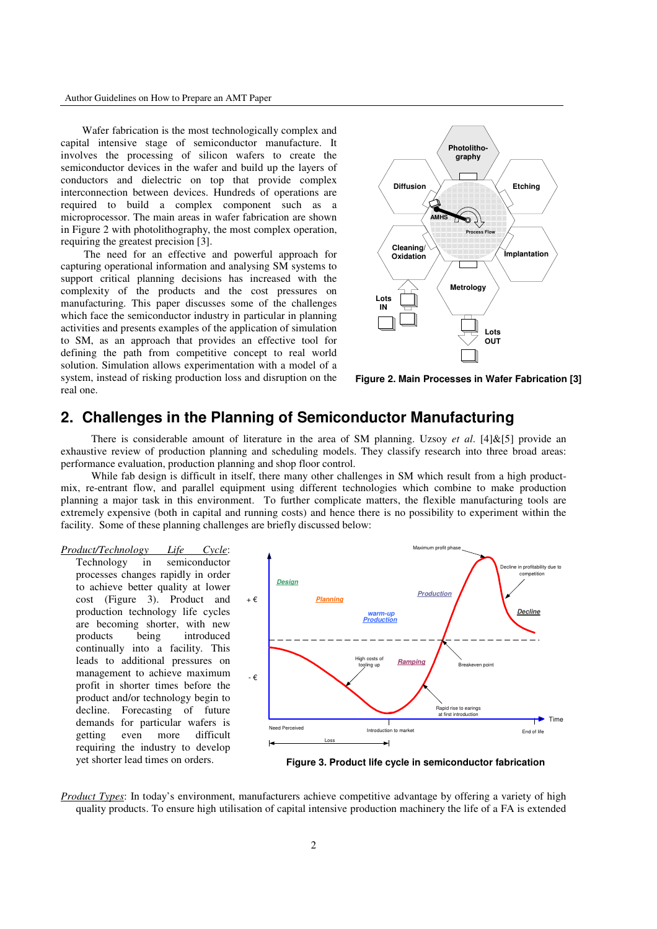Author Guidelines on How to Prepare an AMT Paper

Wafer fabrication is the most technologically complex and capital intensive stage of semiconductor manufacture. It involves the processing of silicon wafers to create the semiconductor devices in the wafer and build up the layers of conductors and dielectric on top that provide complex interconnection between devices. Hundreds of operations are required to build a complex component such as a microprocessor. The main areas in wafer fabrication are shown in Figure 2 with photolithography, the most complex operation, requiring the greatest precision [3].

The need for an effective and powerful approach for capturing operational information and analysing SM systems to support critical planning decisions has increased with the complexity of the products and the cost pressures on manufacturing. This paper discusses some of the challenges which face the semiconductor industry in particular in planning activities and presents examples of the application of simulation to SM, as an approach that provides an effective tool for defining the path from competitive concept to real world solution. Simulation allows experimentation with a model of a system, instead of risking production loss and disruption on the real one.



**Figure 2. Main Processes in Wafer Fabrication [3]** 

### **2. Challenges in the Planning of Semiconductor Manufacturing**

There is considerable amount of literature in the area of SM planning. Uzsoy *et al*. [4]&[5] provide an exhaustive review of production planning and scheduling models. They classify research into three broad areas: performance evaluation, production planning and shop floor control.

While fab design is difficult in itself, there many other challenges in SM which result from a high productmix, re-entrant flow, and parallel equipment using different technologies which combine to make production planning a major task in this environment. To further complicate matters, the flexible manufacturing tools are extremely expensive (both in capital and running costs) and hence there is no possibility to experiment within the facility. Some of these planning challenges are briefly discussed below:

*Product/Technology Life Cycle*:

Technology in semiconductor processes changes rapidly in order to achieve better quality at lower cost (Figure 3). Product and production technology life cycles are becoming shorter, with new products being introduced continually into a facility. This leads to additional pressures on management to achieve maximum profit in shorter times before the product and/or technology begin to decline. Forecasting of future demands for particular wafers is getting even more difficult requiring the industry to develop yet shorter lead times on orders.



**Figure 3. Product life cycle in semiconductor fabrication** 

*Product Types*: In today's environment, manufacturers achieve competitive advantage by offering a variety of high quality products. To ensure high utilisation of capital intensive production machinery the life of a FA is extended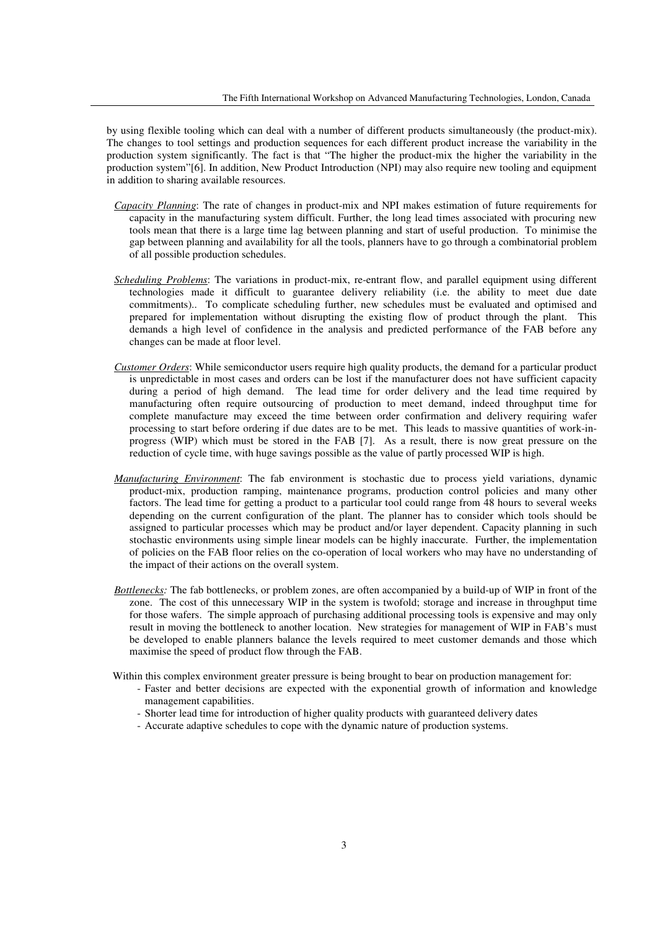by using flexible tooling which can deal with a number of different products simultaneously (the product-mix). The changes to tool settings and production sequences for each different product increase the variability in the production system significantly. The fact is that "The higher the product-mix the higher the variability in the production system"[6]. In addition, New Product Introduction (NPI) may also require new tooling and equipment in addition to sharing available resources.

- *Capacity Planning*: The rate of changes in product-mix and NPI makes estimation of future requirements for capacity in the manufacturing system difficult. Further, the long lead times associated with procuring new tools mean that there is a large time lag between planning and start of useful production. To minimise the gap between planning and availability for all the tools, planners have to go through a combinatorial problem of all possible production schedules.
- *Scheduling Problems*: The variations in product-mix, re-entrant flow, and parallel equipment using different technologies made it difficult to guarantee delivery reliability (i.e. the ability to meet due date commitments).. To complicate scheduling further, new schedules must be evaluated and optimised and prepared for implementation without disrupting the existing flow of product through the plant. This demands a high level of confidence in the analysis and predicted performance of the FAB before any changes can be made at floor level.
- *Customer Orders*: While semiconductor users require high quality products, the demand for a particular product is unpredictable in most cases and orders can be lost if the manufacturer does not have sufficient capacity during a period of high demand. The lead time for order delivery and the lead time required by manufacturing often require outsourcing of production to meet demand, indeed throughput time for complete manufacture may exceed the time between order confirmation and delivery requiring wafer processing to start before ordering if due dates are to be met. This leads to massive quantities of work-inprogress (WIP) which must be stored in the FAB [7]. As a result, there is now great pressure on the reduction of cycle time, with huge savings possible as the value of partly processed WIP is high.
- *Manufacturing Environment*: The fab environment is stochastic due to process yield variations, dynamic product-mix, production ramping, maintenance programs, production control policies and many other factors. The lead time for getting a product to a particular tool could range from 48 hours to several weeks depending on the current configuration of the plant. The planner has to consider which tools should be assigned to particular processes which may be product and/or layer dependent. Capacity planning in such stochastic environments using simple linear models can be highly inaccurate. Further, the implementation of policies on the FAB floor relies on the co-operation of local workers who may have no understanding of the impact of their actions on the overall system.
- *Bottlenecks:* The fab bottlenecks, or problem zones, are often accompanied by a build-up of WIP in front of the zone. The cost of this unnecessary WIP in the system is twofold; storage and increase in throughput time for those wafers. The simple approach of purchasing additional processing tools is expensive and may only result in moving the bottleneck to another location. New strategies for management of WIP in FAB's must be developed to enable planners balance the levels required to meet customer demands and those which maximise the speed of product flow through the FAB.
- Within this complex environment greater pressure is being brought to bear on production management for:
	- Faster and better decisions are expected with the exponential growth of information and knowledge management capabilities.
	- Shorter lead time for introduction of higher quality products with guaranteed delivery dates
	- Accurate adaptive schedules to cope with the dynamic nature of production systems.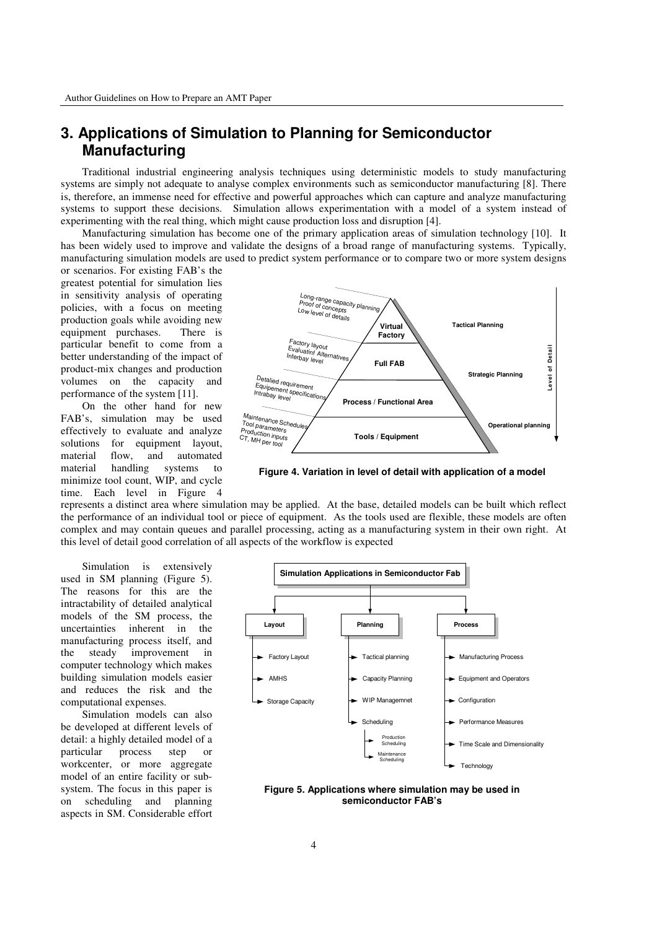### **3. Applications of Simulation to Planning for Semiconductor Manufacturing**

Traditional industrial engineering analysis techniques using deterministic models to study manufacturing systems are simply not adequate to analyse complex environments such as semiconductor manufacturing [8]. There is, therefore, an immense need for effective and powerful approaches which can capture and analyze manufacturing systems to support these decisions. Simulation allows experimentation with a model of a system instead of experimenting with the real thing, which might cause production loss and disruption [4].

Manufacturing simulation has become one of the primary application areas of simulation technology [10]. It has been widely used to improve and validate the designs of a broad range of manufacturing systems. Typically, manufacturing simulation models are used to predict system performance or to compare two or more system designs

or scenarios. For existing FAB's the greatest potential for simulation lies in sensitivity analysis of operating policies, with a focus on meeting production goals while avoiding new equipment purchases. There is particular benefit to come from a better understanding of the impact of product-mix changes and production volumes on the capacity and performance of the system [11].

On the other hand for new FAB's, simulation may be used effectively to evaluate and analyze solutions for equipment layout, material flow, and automated material handling systems to minimize tool count, WIP, and cycle time. Each level in Figure 4



**Figure 4. Variation in level of detail with application of a model** 

represents a distinct area where simulation may be applied. At the base, detailed models can be built which reflect the performance of an individual tool or piece of equipment. As the tools used are flexible, these models are often complex and may contain queues and parallel processing, acting as a manufacturing system in their own right. At this level of detail good correlation of all aspects of the workflow is expected

Simulation is extensively used in SM planning (Figure 5). The reasons for this are the intractability of detailed analytical models of the SM process, the uncertainties inherent in the manufacturing process itself, and the steady improvement in computer technology which makes building simulation models easier and reduces the risk and the computational expenses.

Simulation models can also be developed at different levels of detail: a highly detailed model of a particular process step or workcenter, or more aggregate model of an entire facility or subsystem. The focus in this paper is on scheduling and planning aspects in SM. Considerable effort



**Figure 5. Applications where simulation may be used in semiconductor FAB's**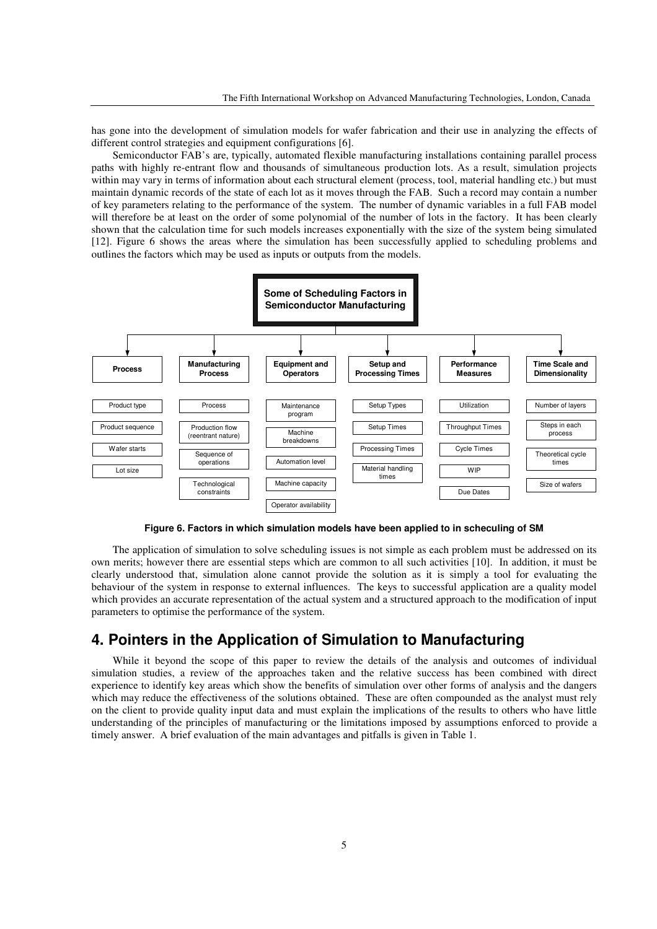has gone into the development of simulation models for wafer fabrication and their use in analyzing the effects of different control strategies and equipment configurations [6].

Semiconductor FAB's are, typically, automated flexible manufacturing installations containing parallel process paths with highly re-entrant flow and thousands of simultaneous production lots. As a result, simulation projects within may vary in terms of information about each structural element (process, tool, material handling etc.) but must maintain dynamic records of the state of each lot as it moves through the FAB. Such a record may contain a number of key parameters relating to the performance of the system. The number of dynamic variables in a full FAB model will therefore be at least on the order of some polynomial of the number of lots in the factory. It has been clearly shown that the calculation time for such models increases exponentially with the size of the system being simulated [12]. Figure 6 shows the areas where the simulation has been successfully applied to scheduling problems and outlines the factors which may be used as inputs or outputs from the models.



**Figure 6. Factors in which simulation models have been applied to in scheculing of SM** 

The application of simulation to solve scheduling issues is not simple as each problem must be addressed on its own merits; however there are essential steps which are common to all such activities [10]. In addition, it must be clearly understood that, simulation alone cannot provide the solution as it is simply a tool for evaluating the behaviour of the system in response to external influences. The keys to successful application are a quality model which provides an accurate representation of the actual system and a structured approach to the modification of input parameters to optimise the performance of the system.

### **4. Pointers in the Application of Simulation to Manufacturing**

While it beyond the scope of this paper to review the details of the analysis and outcomes of individual simulation studies, a review of the approaches taken and the relative success has been combined with direct experience to identify key areas which show the benefits of simulation over other forms of analysis and the dangers which may reduce the effectiveness of the solutions obtained. These are often compounded as the analyst must rely on the client to provide quality input data and must explain the implications of the results to others who have little understanding of the principles of manufacturing or the limitations imposed by assumptions enforced to provide a timely answer. A brief evaluation of the main advantages and pitfalls is given in Table 1.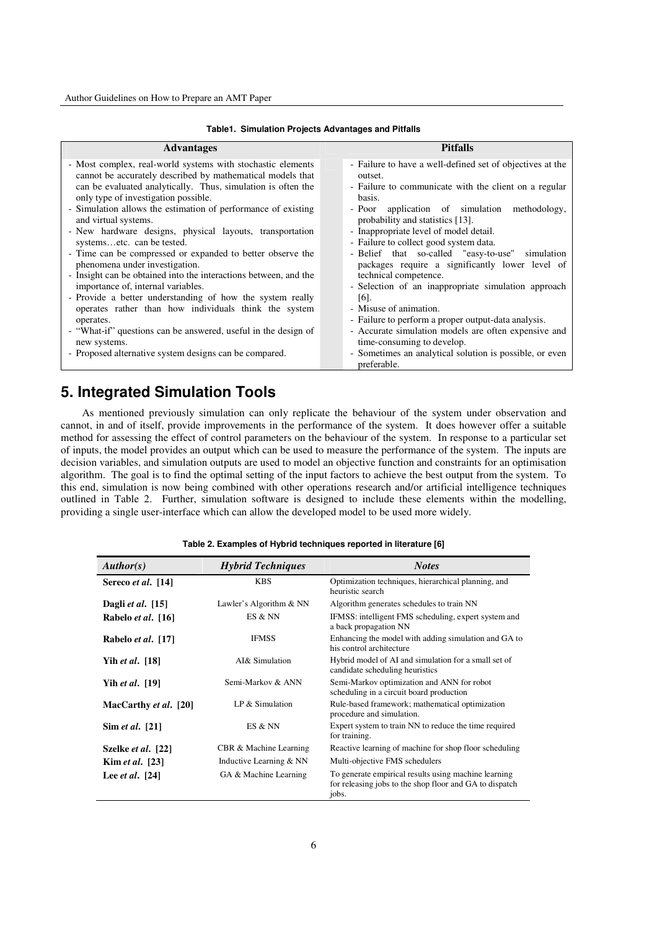| <b>Advantages</b>                                                                                                                                                                                                                                                                                                                                                                                                                                                                                                                                                                                                                                                                                                                                    | <b>Pitfalls</b>                                                                                                                                                                                                                                                                                                                                                                                                                                                                                                                                 |
|------------------------------------------------------------------------------------------------------------------------------------------------------------------------------------------------------------------------------------------------------------------------------------------------------------------------------------------------------------------------------------------------------------------------------------------------------------------------------------------------------------------------------------------------------------------------------------------------------------------------------------------------------------------------------------------------------------------------------------------------------|-------------------------------------------------------------------------------------------------------------------------------------------------------------------------------------------------------------------------------------------------------------------------------------------------------------------------------------------------------------------------------------------------------------------------------------------------------------------------------------------------------------------------------------------------|
| - Most complex, real-world systems with stochastic elements<br>cannot be accurately described by mathematical models that<br>can be evaluated analytically. Thus, simulation is often the<br>only type of investigation possible.<br>- Simulation allows the estimation of performance of existing<br>and virtual systems.<br>- New hardware designs, physical layouts, transportation<br>systemsetc. can be tested.<br>- Time can be compressed or expanded to better observe the<br>phenomena under investigation.<br>- Insight can be obtained into the interactions between, and the<br>importance of, internal variables.<br>- Provide a better understanding of how the system really<br>operates rather than how individuals think the system | - Failure to have a well-defined set of objectives at the<br>outset.<br>- Failure to communicate with the client on a regular<br>basis.<br>- Poor application of simulation methodology,<br>probability and statistics [13].<br>- Inappropriate level of model detail.<br>- Failure to collect good system data.<br>- Belief that so-called "easy-to-use"<br>simulation<br>packages require a significantly lower level of<br>technical competence.<br>- Selection of an inappropriate simulation approach<br>$[6]$ .<br>- Misuse of animation. |
| operates.                                                                                                                                                                                                                                                                                                                                                                                                                                                                                                                                                                                                                                                                                                                                            | - Failure to perform a proper output-data analysis.                                                                                                                                                                                                                                                                                                                                                                                                                                                                                             |
| - "What-if" questions can be answered, useful in the design of                                                                                                                                                                                                                                                                                                                                                                                                                                                                                                                                                                                                                                                                                       | - Accurate simulation models are often expensive and                                                                                                                                                                                                                                                                                                                                                                                                                                                                                            |
| new systems.                                                                                                                                                                                                                                                                                                                                                                                                                                                                                                                                                                                                                                                                                                                                         | time-consuming to develop.                                                                                                                                                                                                                                                                                                                                                                                                                                                                                                                      |
| - Proposed alternative system designs can be compared.                                                                                                                                                                                                                                                                                                                                                                                                                                                                                                                                                                                                                                                                                               | - Sometimes an analytical solution is possible, or even<br>preferable.                                                                                                                                                                                                                                                                                                                                                                                                                                                                          |

#### **Table1. Simulation Projects Advantages and Pitfalls**

## **5. Integrated Simulation Tools**

As mentioned previously simulation can only replicate the behaviour of the system under observation and cannot, in and of itself, provide improvements in the performance of the system. It does however offer a suitable method for assessing the effect of control parameters on the behaviour of the system. In response to a particular set of inputs, the model provides an output which can be used to measure the performance of the system. The inputs are decision variables, and simulation outputs are used to model an objective function and constraints for an optimisation algorithm. The goal is to find the optimal setting of the input factors to achieve the best output from the system. To this end, simulation is now being combined with other operations research and/or artificial intelligence techniques outlined in Table 2. Further, simulation software is designed to include these elements within the modelling, providing a single user-interface which can allow the developed model to be used more widely.

#### **Table 2. Examples of Hybrid techniques reported in literature [6]**

| Author(s)                 | <b>Hybrid Techniques</b> | <b>Notes</b>                                                                                                             |
|---------------------------|--------------------------|--------------------------------------------------------------------------------------------------------------------------|
| Sereco et al. [14]        | <b>KBS</b>               | Optimization techniques, hierarchical planning, and<br>heuristic search                                                  |
| Dagli et al. $[15]$       | Lawler's Algorithm & NN  | Algorithm generates schedules to train NN                                                                                |
| Rabelo et al. [16]        | ES & NN                  | IFMSS: intelligent FMS scheduling, expert system and<br>a back propagation NN                                            |
| Rabelo et al. [17]        | <b>IFMSS</b>             | Enhancing the model with adding simulation and GA to<br>his control architecture                                         |
| Yih et al. [18]           | AI& Simulation           | Hybrid model of AI and simulation for a small set of<br>candidate scheduling heuristics                                  |
| Yih et al. [19]           | Semi-Markov & ANN        | Semi-Markov optimization and ANN for robot<br>scheduling in a circuit board production                                   |
| MacCarthy et al. [20]     | LP $&$ Simulation        | Rule-based framework; mathematical optimization<br>procedure and simulation.                                             |
| Sim <i>et al.</i> [21]    | ES & NN                  | Expert system to train NN to reduce the time required<br>for training.                                                   |
| Szelke <i>et al.</i> [22] | CBR & Machine Learning   | Reactive learning of machine for shop floor scheduling                                                                   |
| Kim et al. [23]           | Inductive Learning & NN  | Multi-objective FMS schedulers                                                                                           |
| Lee <i>et al.</i> [24]    | GA & Machine Learning    | To generate empirical results using machine learning<br>for releasing jobs to the shop floor and GA to dispatch<br>jobs. |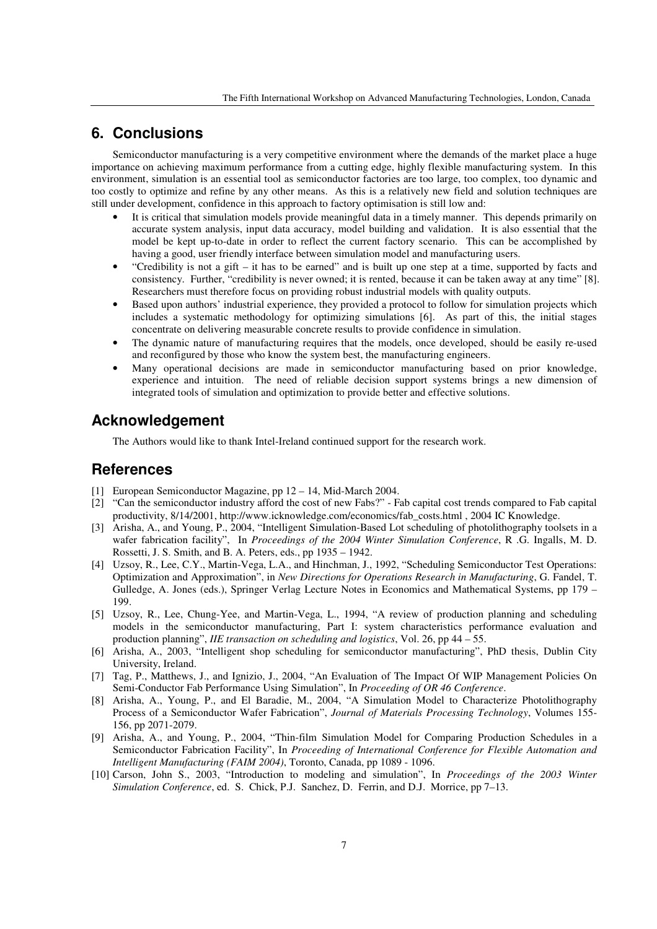## **6. Conclusions**

Semiconductor manufacturing is a very competitive environment where the demands of the market place a huge importance on achieving maximum performance from a cutting edge, highly flexible manufacturing system. In this environment, simulation is an essential tool as semiconductor factories are too large, too complex, too dynamic and too costly to optimize and refine by any other means. As this is a relatively new field and solution techniques are still under development, confidence in this approach to factory optimisation is still low and:

- It is critical that simulation models provide meaningful data in a timely manner. This depends primarily on accurate system analysis, input data accuracy, model building and validation. It is also essential that the model be kept up-to-date in order to reflect the current factory scenario. This can be accomplished by having a good, user friendly interface between simulation model and manufacturing users.
- "Credibility is not a gift it has to be earned" and is built up one step at a time, supported by facts and consistency. Further, "credibility is never owned; it is rented, because it can be taken away at any time" [8]. Researchers must therefore focus on providing robust industrial models with quality outputs.
- Based upon authors' industrial experience, they provided a protocol to follow for simulation projects which includes a systematic methodology for optimizing simulations [6]. As part of this, the initial stages concentrate on delivering measurable concrete results to provide confidence in simulation.
- The dynamic nature of manufacturing requires that the models, once developed, should be easily re-used and reconfigured by those who know the system best, the manufacturing engineers.
- Many operational decisions are made in semiconductor manufacturing based on prior knowledge, experience and intuition. The need of reliable decision support systems brings a new dimension of integrated tools of simulation and optimization to provide better and effective solutions.

### **Acknowledgement**

The Authors would like to thank Intel-Ireland continued support for the research work.

#### **References**

- [1] European Semiconductor Magazine, pp 12 14, Mid-March 2004.
- [2] "Can the semiconductor industry afford the cost of new Fabs?" Fab capital cost trends compared to Fab capital productivity, 8/14/2001, http://www.icknowledge.com/economics/fab\_costs.html , 2004 IC Knowledge.
- [3] Arisha, A., and Young, P., 2004, "Intelligent Simulation-Based Lot scheduling of photolithography toolsets in a wafer fabrication facility", In *Proceedings of the 2004 Winter Simulation Conference*, R .G. Ingalls, M. D. Rossetti, J. S. Smith, and B. A. Peters, eds., pp 1935 – 1942.
- [4] Uzsoy, R., Lee, C.Y., Martin-Vega, L.A., and Hinchman, J., 1992, "Scheduling Semiconductor Test Operations: Optimization and Approximation", in *New Directions for Operations Research in Manufacturing*, G. Fandel, T. Gulledge, A. Jones (eds.), Springer Verlag Lecture Notes in Economics and Mathematical Systems, pp 179 – 199.
- [5] Uzsoy, R., Lee, Chung-Yee, and Martin-Vega, L., 1994, "A review of production planning and scheduling models in the semiconductor manufacturing, Part I: system characteristics performance evaluation and production planning", *IIE transaction on scheduling and logistics*, Vol. 26, pp 44 – 55.
- [6] Arisha, A., 2003, "Intelligent shop scheduling for semiconductor manufacturing", PhD thesis, Dublin City University, Ireland.
- [7] Tag, P., Matthews, J., and Ignizio, J., 2004, "An Evaluation of The Impact Of WIP Management Policies On Semi-Conductor Fab Performance Using Simulation", In *Proceeding of OR 46 Conference*.
- [8] Arisha, A., Young, P., and El Baradie, M., 2004, "A Simulation Model to Characterize Photolithography Process of a Semiconductor Wafer Fabrication", *Journal of Materials Processing Technology*, Volumes 155- 156, pp 2071-2079.
- [9] Arisha, A., and Young, P., 2004, "Thin-film Simulation Model for Comparing Production Schedules in a Semiconductor Fabrication Facility", In *Proceeding of International Conference for Flexible Automation and Intelligent Manufacturing (FAIM 2004)*, Toronto, Canada, pp 1089 - 1096.
- [10] Carson, John S., 2003, "Introduction to modeling and simulation", In *Proceedings of the 2003 Winter Simulation Conference*, ed. S. Chick, P.J. Sanchez, D. Ferrin, and D.J. Morrice, pp 7–13.